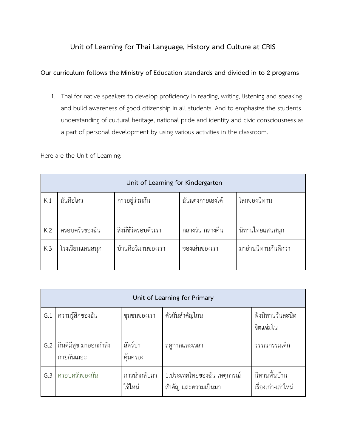## **Unit of Learning for Thai Language, History and Culture at CRIS**

## **Our curriculum follows the Ministry of Education standards and divided in to 2 programs**

1. Thai for native speakers to develop proficiency in reading, writing, listening and speaking and build awareness of good citizenship in all students. And to emphasize the students understanding of cultural heritage, national pride and identity and civic consciousness as a part of personal development by using various activities in the classroom.

Here are the Unit of Learning:

| Unit of Learning for Kindergarten |                 |                      |                  |                      |  |
|-----------------------------------|-----------------|----------------------|------------------|----------------------|--|
| K.1                               | ฉันคือใคร       | การอยู่ร่วมกัน       | ฉันแต่งกายเองได้ | โลกของนิทาน          |  |
|                                   |                 |                      |                  |                      |  |
| K.2                               | ครอบครัวของฉัน  | สิ่งมีชีวิตรอบตัวเรา | ึกลางวัน กลางคืน | นิทานไทยแสนสนุก      |  |
| K.3                               | โรงเรียนแสนสนุก | บ้านคือวิมานของเรา   | ของเล่นของเรา    | มาอ่านนิทานกันดีกว่า |  |
|                                   |                 |                      |                  |                      |  |

|     | Unit of Learning for Primary        |                        |                                                     |                                      |  |  |  |
|-----|-------------------------------------|------------------------|-----------------------------------------------------|--------------------------------------|--|--|--|
| G.1 | ความรู้สึกของฉัน                    | ชุมชนของเรา            | ตัวฉันสำคัญไฉน                                      | ฟังนิทานวันละนิด<br>จิตแจ่มใน        |  |  |  |
| G.2 | กินดีมีสุข-มาออกกำลัง<br>กายกันเถอะ | สัตว์ป่า<br>คุ้มครอง   | ฤดูกาลและเวลา                                       | วรรณกรรมเด็ก                         |  |  |  |
| G.3 | ครอบครัวของฉัน                      | การนำกลับมา<br>ใช้ใหม่ | 1.ประเทศไทยของฉัน เหตุการณ์<br>้สำคัญ และความเป็นมา | นิทานพื้นบ้าน<br>เรื่องเก่า-เล่าใหม่ |  |  |  |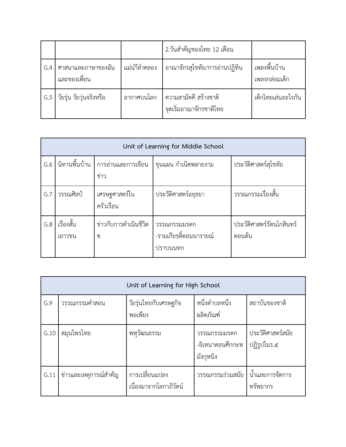|     |                                    |              | 2.วันสำคัญของไทย 12 เดือน                        |                               |
|-----|------------------------------------|--------------|--------------------------------------------------|-------------------------------|
| G.4 | ศาสนาและภาษาของฉัน<br>และของเพื่อน | แม่นำ้ลำคลอง | อาณาจักรสุโขทัย/การอ่านปฏิทิน                    | เพลงพื้นบ้าน<br>เพลงกล่อมเด็ก |
| G.5 | วัยรุ่น วัยวุ่นจริงหรือ            | อากาศบนโลก   | ความสามัคคี สร้างชาติ<br>จุดเริ่มอาณาจักรชาติไทย | เด็กไทยเล่นอะไรกัน            |

|     | Unit of Learning for Middle School |                            |                                                    |                                     |  |  |  |
|-----|------------------------------------|----------------------------|----------------------------------------------------|-------------------------------------|--|--|--|
| G.6 | นิทานพื้นบ้าน $\parallel$          | การอ่านและการเขียน<br>ข่าว | ขุนแผน กำเนิดพลายงาม                               | ประวัติศาสตร์สุโขทัย                |  |  |  |
| G.7 | วรรณศิลป์                          | เศรษฐศาสตร์ใน<br>ครัวเรือน | ประวัติศาสตร์อยุธยา                                | วรรณกรรมเรื่องสั้น                  |  |  |  |
| G.8 | เรื่องสั้น<br>เยาวชน               | ข่าวกับการดำเนินชีวิต<br>ဈ | วรรณกรรมมรดก<br>-รามเกียรติ์ตอนนารายณ์<br>ปราบนนทก | ประวัติศาสตร์รัตนโกสินทร์<br>ตอนต้น |  |  |  |

|      | Unit of Learning for High School |                                          |                                               |                                  |  |  |
|------|----------------------------------|------------------------------------------|-----------------------------------------------|----------------------------------|--|--|
| G.9  | วรรณกรรมคำสอน                    | วัยรุ่นไทยกับเศรษฐกิจ<br>พอเพียง         | หนึ่งตำบลหนึ่ง<br>ผลิตภัณฑ์                   | สถาบันของชาติ                    |  |  |
| G.10 | สมุนไพรไทย                       | พหุวัฒนธรรม                              | วรรณกรรมมรดก<br>-อิเหนาตอนศึกกะห<br>มังกุหนิง | ประวัติศาสตร์สมัย<br>ปฏิรูปในร.๕ |  |  |
| G.11 | ข่าวและเหตุการณ์สำคัญ            | การเปลี่ยนแปลง<br>เนื่องมาจากโลกาภิวัตน์ | วรรณกรรมร่วมสมัย                              | น้ำและการจัดการ<br>ทรัพยากร      |  |  |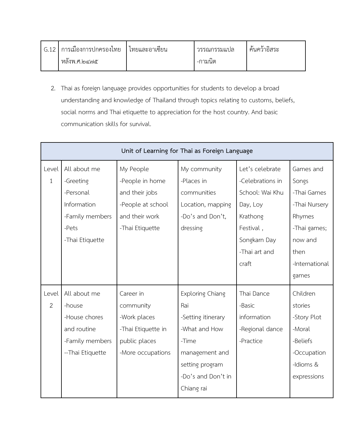| G.12 | . เ การเมืองการปกครองไทย | ่ เทยและอาเซ่ยน | ่ วรรณกรรมแปล | คนควาอสระ |
|------|--------------------------|-----------------|---------------|-----------|
|      | หลังพ.ศ.๒๔๗๕             |                 | -กามนต        |           |

2. Thai as foreign language provides opportunities for students to develop a broad understanding and knowledge of Thailand through topics relating to customs, beliefs, social norms and Thai etiquette to appreciation for the host country. And basic communication skills for survival.

|                | Unit of Learning for Thai as Foreign Language |                    |                         |                  |                |  |
|----------------|-----------------------------------------------|--------------------|-------------------------|------------------|----------------|--|
| Level          | All about me                                  | My People          | My community            | Let's celebrate  | Games and      |  |
| $\mathbf{1}$   | -Greeting                                     | -People in home    | -Places in              | -Celebrations in | Songs          |  |
|                | -Personal                                     | and their jobs     | communities             | School: Wai Khu  | -Thai Games    |  |
|                | Information                                   | -People at school  | Location, mapping       | Day, Loy         | -Thai Nursery  |  |
|                | -Family members                               | and their work     | -Do's and Don't,        | Krathong         | Rhymes         |  |
|                | -Pets                                         | -Thai Etiquette    | dressing                | Festival,        | -Thai games;   |  |
|                | -Thai Etiquette                               |                    |                         | Songkarn Day     | now and        |  |
|                |                                               |                    |                         | -Thai art and    | then           |  |
|                |                                               |                    |                         | craft            | -International |  |
|                |                                               |                    |                         |                  | games          |  |
|                |                                               |                    |                         |                  |                |  |
| Level          | All about me                                  | Career in          | <b>Exploring Chiang</b> | Thai Dance       | Children       |  |
| $\overline{2}$ | -house                                        | community          | Rai                     | -Basic           | stories        |  |
|                | -House chores                                 | -Work places       | -Setting itinerary      | information      | -Story Plot    |  |
|                | and routine                                   | -Thai Etiquette in | -What and How           | -Regional dance  | -Moral         |  |
|                | -Family members                               | public places      | -Time                   | -Practice        | -Beliefs       |  |
|                | -- Thai Etiquette                             | -More occupations  | management and          |                  | -Occupation    |  |
|                |                                               |                    | setting program         |                  | -Idioms &      |  |
|                |                                               |                    | -Do's and Don't in      |                  | expressions    |  |
|                |                                               |                    | Chiang rai              |                  |                |  |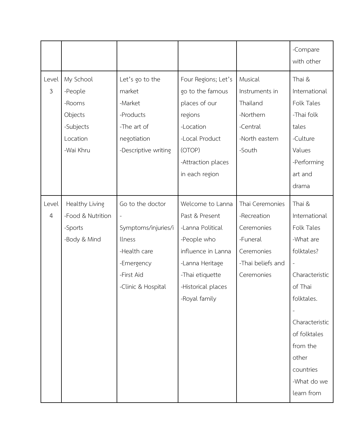|                         |                                                                                 |                                                                                                                                                 |                                                                                                                                                                          |                                                                                                           | -Compare<br>with other                                                                                                                                                                                                         |
|-------------------------|---------------------------------------------------------------------------------|-------------------------------------------------------------------------------------------------------------------------------------------------|--------------------------------------------------------------------------------------------------------------------------------------------------------------------------|-----------------------------------------------------------------------------------------------------------|--------------------------------------------------------------------------------------------------------------------------------------------------------------------------------------------------------------------------------|
| Level<br>$\mathfrak{Z}$ | My School<br>-People<br>-Rooms<br>Objects<br>-Subjects<br>Location<br>-Wai Khru | Let's go to the<br>market<br>-Market<br>-Products<br>-The art of<br>negotiation<br>-Descriptive writing                                         | Four Regions; Let's<br>go to the famous<br>places of our<br>regions<br>-Location<br>-Local Product<br>(OTOP)<br>-Attraction places<br>in each region                     | Musical<br>Instruments in<br>Thailand<br>-Northern<br>-Central<br>-North eastern<br>-South                | Thai &<br>International<br>Folk Tales<br>-Thai folk<br>tales<br>-Culture<br>Values<br>-Performing<br>art and<br>drama                                                                                                          |
| Level<br>$\overline{4}$ | Healthy Living<br>-Food & Nutrition<br>-Sports<br>-Body & Mind                  | Go to the doctor<br>$\overline{\phantom{a}}$<br>Symptoms/injuries/i<br>llness<br>-Health care<br>-Emergency<br>-First Aid<br>-Clinic & Hospital | Welcome to Lanna<br>Past & Present<br>-Lanna Political<br>-People who<br>influence in Lanna<br>-Lanna Heritage<br>-Thai etiquette<br>-Historical places<br>-Royal family | Thai Ceremonies<br>-Recreation<br>Ceremonies<br>-Funeral<br>Ceremonies<br>-Thai beliefs and<br>Ceremonies | Thai &<br>International<br>Folk Tales<br>-What are<br>folktales?<br>$\blacksquare$<br>Characteristic<br>of Thai<br>folktales.<br>Characteristic<br>of folktales<br>from the<br>other<br>countries<br>-What do we<br>learn from |